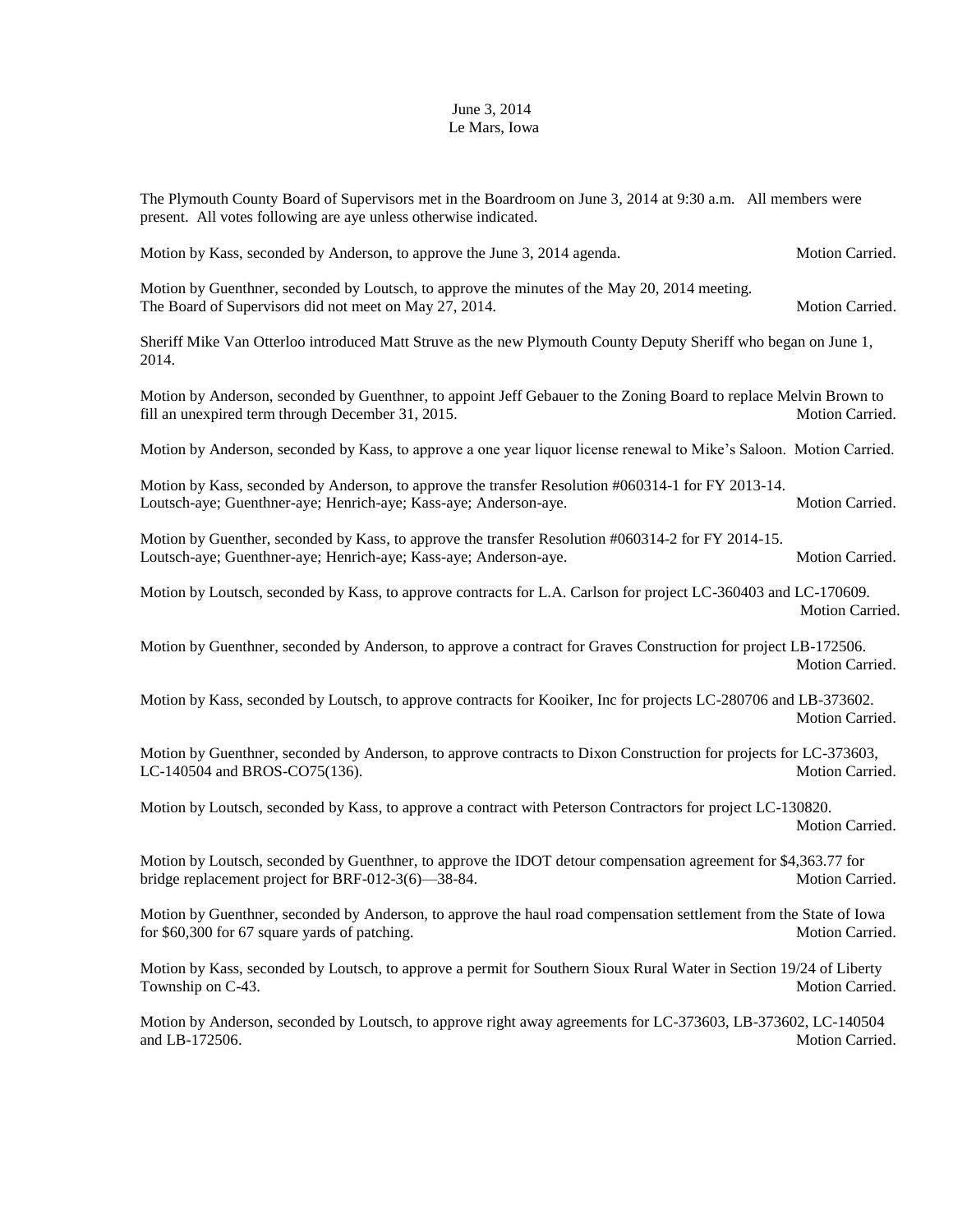## June 3, 2014 Le Mars, Iowa

The Plymouth County Board of Supervisors met in the Boardroom on June 3, 2014 at 9:30 a.m. All members were present. All votes following are aye unless otherwise indicated.

| Motion by Kass, seconded by Anderson, to approve the June 3, 2014 agenda.                                                                                              | Motion Carried.        |
|------------------------------------------------------------------------------------------------------------------------------------------------------------------------|------------------------|
| Motion by Guenthner, seconded by Loutsch, to approve the minutes of the May 20, 2014 meeting.<br>The Board of Supervisors did not meet on May 27, 2014.                | Motion Carried.        |
| Sheriff Mike Van Otterloo introduced Matt Struve as the new Plymouth County Deputy Sheriff who began on June 1,<br>2014.                                               |                        |
| Motion by Anderson, seconded by Guenthner, to appoint Jeff Gebauer to the Zoning Board to replace Melvin Brown to<br>fill an unexpired term through December 31, 2015. | Motion Carried.        |
| Motion by Anderson, seconded by Kass, to approve a one year liquor license renewal to Mike's Saloon. Motion Carried.                                                   |                        |
| Motion by Kass, seconded by Anderson, to approve the transfer Resolution #060314-1 for FY 2013-14.<br>Loutsch-aye; Guenthner-aye; Henrich-aye; Kass-aye; Anderson-aye. | <b>Motion Carried.</b> |
| Motion by Guenther, seconded by Kass, to approve the transfer Resolution #060314-2 for FY 2014-15.<br>Loutsch-aye; Guenthner-aye; Henrich-aye; Kass-aye; Anderson-aye. | Motion Carried.        |
| Motion by Loutsch, seconded by Kass, to approve contracts for L.A. Carlson for project LC-360403 and LC-170609.                                                        | Motion Carried.        |
| Motion by Guenthner, seconded by Anderson, to approve a contract for Graves Construction for project LB-172506.                                                        | Motion Carried.        |
| Motion by Kass, seconded by Loutsch, to approve contracts for Kooiker, Inc for projects LC-280706 and LB-373602.                                                       | Motion Carried.        |
| Motion by Guenthner, seconded by Anderson, to approve contracts to Dixon Construction for projects for LC-373603,<br>LC-140504 and BROS-CO75(136).                     | Motion Carried.        |
| Motion by Loutsch, seconded by Kass, to approve a contract with Peterson Contractors for project LC-130820.                                                            | Motion Carried.        |
| Motion by Loutsch, seconded by Guenthner, to approve the IDOT detour compensation agreement for \$4,363.77 for<br>bridge replacement project for BRF-012-3(6)-38-84.   | Motion Carried.        |
| Motion by Guenthner, seconded by Anderson, to approve the haul road compensation settlement from the State of Iowa<br>for \$60,300 for 67 square yards of patching.    | Motion Carried.        |
| Motion by Kass, seconded by Loutsch, to approve a permit for Southern Sioux Rural Water in Section 19/24 of Liberty<br>Township on C-43.                               | Motion Carried.        |
|                                                                                                                                                                        |                        |

Motion by Anderson, seconded by Loutsch, to approve right away agreements for LC-373603, LB-373602, LC-140504 and LB-172506. Motion Carried.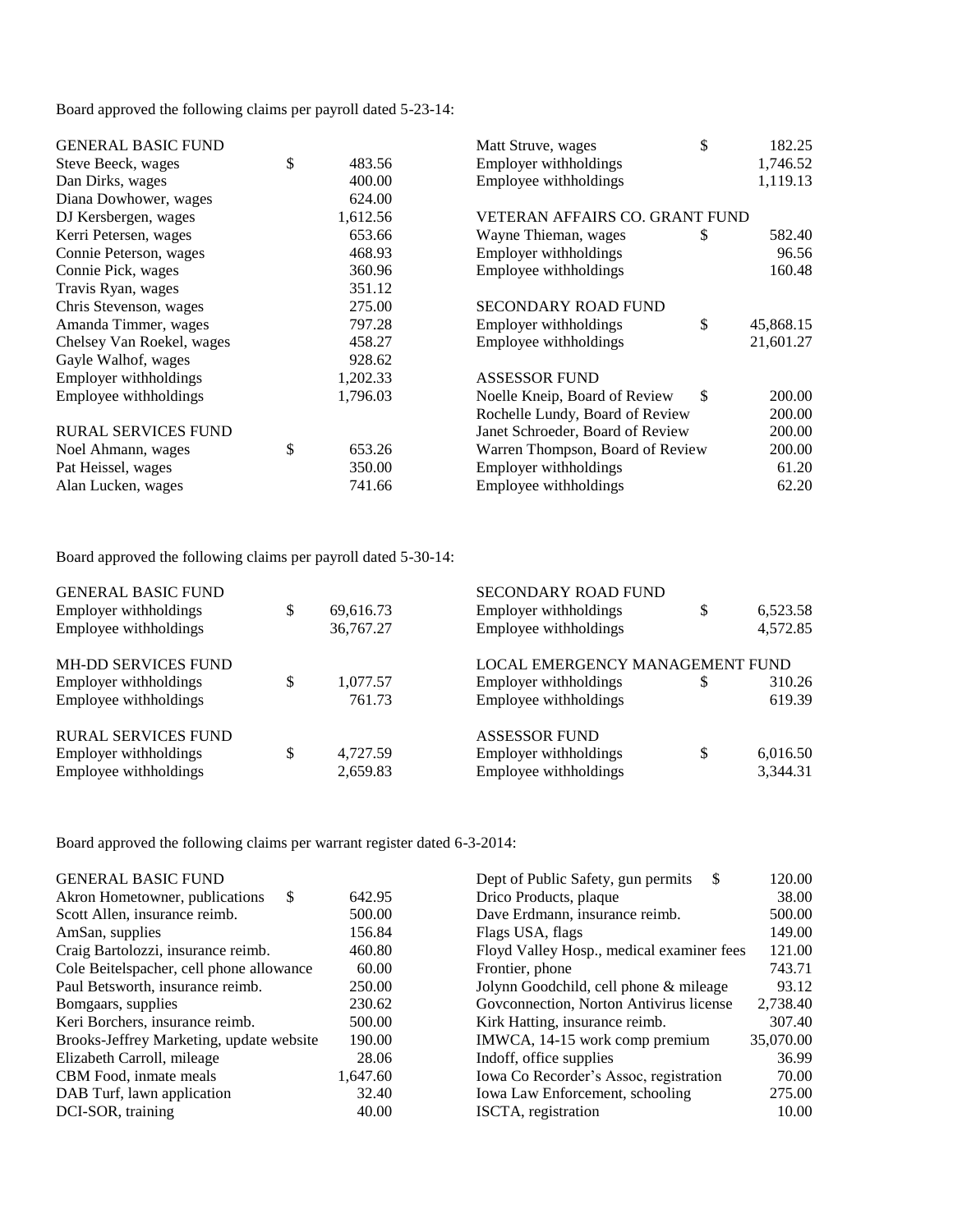Board approved the following claims per payroll dated 5-23-14:

| <b>GENERAL BASIC FUND</b>  |              | Matt Struve, wages               | \$ | 182.25    |
|----------------------------|--------------|----------------------------------|----|-----------|
| Steve Beeck, wages         | \$<br>483.56 | Employer withholdings            |    | 1,746.52  |
| Dan Dirks, wages           | 400.00       | Employee withholdings            |    | 1,119.13  |
| Diana Dowhower, wages      | 624.00       |                                  |    |           |
| DJ Kersbergen, wages       | 1,612.56     | VETERAN AFFAIRS CO. GRANT FUND   |    |           |
| Kerri Petersen, wages      | 653.66       | Wayne Thieman, wages             | S  | 582.40    |
| Connie Peterson, wages     | 468.93       | Employer withholdings            |    | 96.56     |
| Connie Pick, wages         | 360.96       | Employee withholdings            |    | 160.48    |
| Travis Ryan, wages         | 351.12       |                                  |    |           |
| Chris Stevenson, wages     | 275.00       | <b>SECONDARY ROAD FUND</b>       |    |           |
| Amanda Timmer, wages       | 797.28       | Employer withholdings            | \$ | 45,868.15 |
| Chelsey Van Roekel, wages  | 458.27       | Employee withholdings            |    | 21,601.27 |
| Gayle Walhof, wages        | 928.62       |                                  |    |           |
| Employer withholdings      | 1,202.33     | <b>ASSESSOR FUND</b>             |    |           |
| Employee withholdings      | 1,796.03     | Noelle Kneip, Board of Review    | \$ | 200.00    |
|                            |              | Rochelle Lundy, Board of Review  |    | 200.00    |
| <b>RURAL SERVICES FUND</b> |              | Janet Schroeder, Board of Review |    | 200.00    |
| Noel Ahmann, wages         | \$<br>653.26 | Warren Thompson, Board of Review |    | 200.00    |
| Pat Heissel, wages         | 350.00       | Employer withholdings            |    | 61.20     |
| Alan Lucken, wages         | 741.66       | Employee withholdings            |    | 62.20     |

Board approved the following claims per payroll dated 5-30-14:

| <b>GENERAL BASIC FUND</b>  |                 | <b>SECONDARY ROAD FUND</b>      |    |          |
|----------------------------|-----------------|---------------------------------|----|----------|
| Employer withholdings      | \$<br>69,616.73 | Employer withholdings           | \$ | 6,523.58 |
| Employee withholdings      | 36,767.27       | Employee withholdings           |    | 4,572.85 |
| <b>MH-DD SERVICES FUND</b> |                 | LOCAL EMERGENCY MANAGEMENT FUND |    |          |
| Employer withholdings      | \$<br>1,077.57  | Employer withholdings           | S  | 310.26   |
| Employee withholdings      | 761.73          | Employee withholdings           |    | 619.39   |
| <b>RURAL SERVICES FUND</b> |                 | <b>ASSESSOR FUND</b>            |    |          |
| Employer withholdings      | 4,727.59        | Employer withholdings           | \$ | 6,016.50 |
| Employee withholdings      | 2,659.83        | Employee withholdings           |    | 3,344.31 |

Board approved the following claims per warrant register dated 6-3-2014:

| <b>GENERAL BASIC FUND</b>                |          | Dept of Public Safety, gun permits<br>S   | 120.00    |
|------------------------------------------|----------|-------------------------------------------|-----------|
| Akron Hometowner, publications<br>\$.    | 642.95   | Drico Products, plaque                    | 38.00     |
| Scott Allen, insurance reimb.            | 500.00   | Dave Erdmann, insurance reimb.            | 500.00    |
| AmSan, supplies                          | 156.84   | Flags USA, flags                          | 149.00    |
| Craig Bartolozzi, insurance reimb.       | 460.80   | Floyd Valley Hosp., medical examiner fees | 121.00    |
| Cole Beitelspacher, cell phone allowance | 60.00    | Frontier, phone                           | 743.71    |
| Paul Betsworth, insurance reimb.         | 250.00   | Jolynn Goodchild, cell phone & mileage    | 93.12     |
| Bomgaars, supplies                       | 230.62   | Goveonnection, Norton Antivirus license   | 2,738.40  |
| Keri Borchers, insurance reimb.          | 500.00   | Kirk Hatting, insurance reimb.            | 307.40    |
| Brooks-Jeffrey Marketing, update website | 190.00   | IMWCA, 14-15 work comp premium            | 35,070.00 |
| Elizabeth Carroll, mileage               | 28.06    | Indoff, office supplies                   | 36.99     |
| CBM Food, inmate meals                   | 1.647.60 | Iowa Co Recorder's Assoc, registration    | 70.00     |
| DAB Turf, lawn application               | 32.40    | Iowa Law Enforcement, schooling           | 275.00    |
| DCI-SOR, training                        | 40.00    | ISCTA, registration                       | 10.00     |
|                                          |          |                                           |           |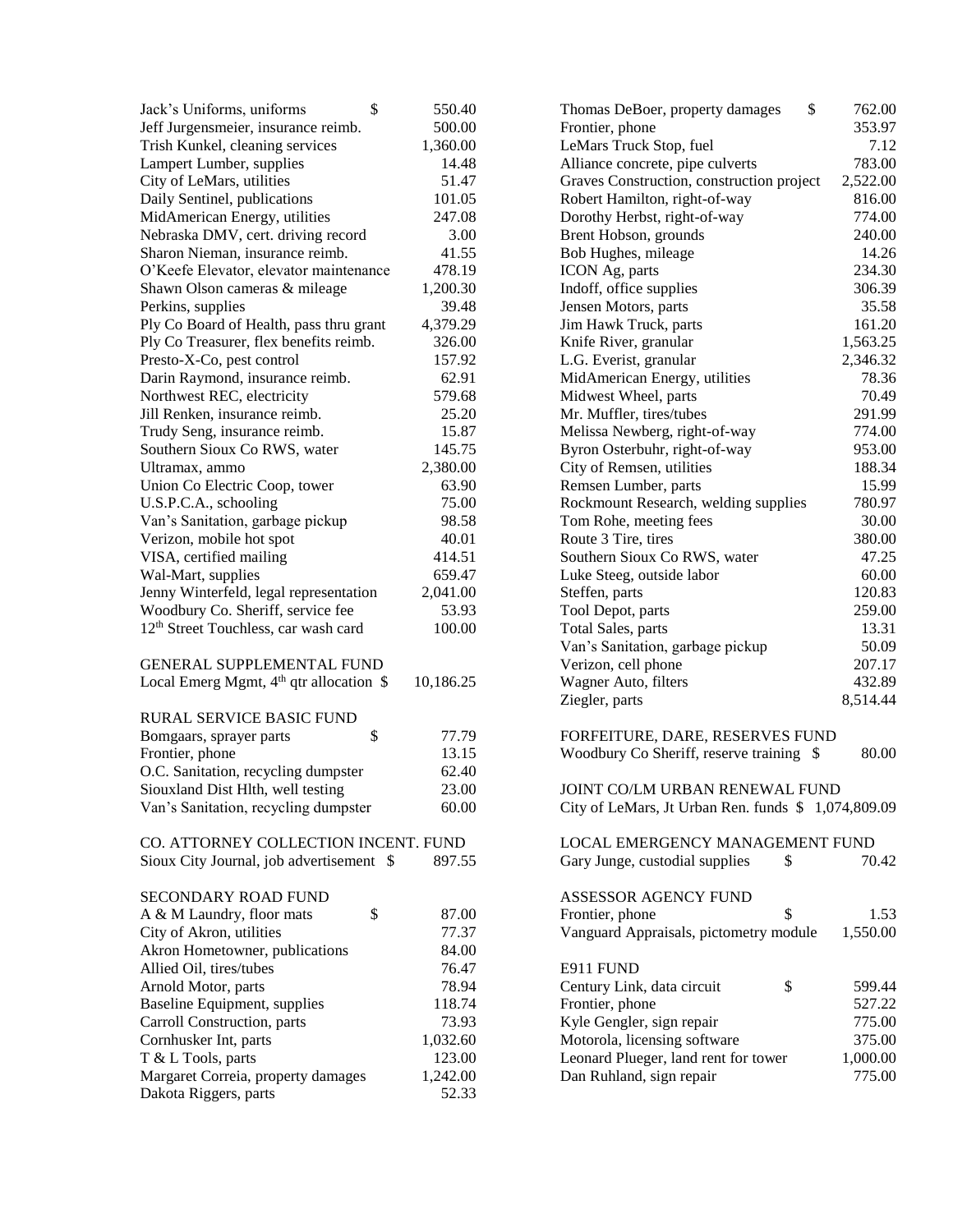| \$<br>Jack's Uniforms, uniforms                  | 550.40    | \$<br>762.00<br>Thomas DeBoer, property damages       |
|--------------------------------------------------|-----------|-------------------------------------------------------|
| Jeff Jurgensmeier, insurance reimb.              | 500.00    | Frontier, phone<br>353.97                             |
| Trish Kunkel, cleaning services                  | 1,360.00  | LeMars Truck Stop, fuel<br>7.12                       |
| Lampert Lumber, supplies                         | 14.48     | Alliance concrete, pipe culverts<br>783.00            |
| City of LeMars, utilities                        | 51.47     | Graves Construction, construction project<br>2,522.00 |
| Daily Sentinel, publications                     | 101.05    | 816.00<br>Robert Hamilton, right-of-way               |
| MidAmerican Energy, utilities                    | 247.08    | Dorothy Herbst, right-of-way<br>774.00                |
| Nebraska DMV, cert. driving record               | 3.00      | Brent Hobson, grounds<br>240.00                       |
| Sharon Nieman, insurance reimb.                  | 41.55     | 14.26<br>Bob Hughes, mileage                          |
| O'Keefe Elevator, elevator maintenance           | 478.19    | ICON Ag, parts<br>234.30                              |
| Shawn Olson cameras & mileage                    | 1,200.30  | Indoff, office supplies<br>306.39                     |
| Perkins, supplies                                | 39.48     | 35.58<br>Jensen Motors, parts                         |
| Ply Co Board of Health, pass thru grant          | 4,379.29  | 161.20<br>Jim Hawk Truck, parts                       |
| Ply Co Treasurer, flex benefits reimb.           | 326.00    | Knife River, granular<br>1,563.25                     |
| Presto-X-Co, pest control                        | 157.92    | L.G. Everist, granular<br>2,346.32                    |
| Darin Raymond, insurance reimb.                  | 62.91     | MidAmerican Energy, utilities<br>78.36                |
| Northwest REC, electricity                       | 579.68    | 70.49<br>Midwest Wheel, parts                         |
| Jill Renken, insurance reimb.                    | 25.20     | 291.99<br>Mr. Muffler, tires/tubes                    |
| Trudy Seng, insurance reimb.                     | 15.87     | Melissa Newberg, right-of-way<br>774.00               |
| Southern Sioux Co RWS, water                     | 145.75    | 953.00<br>Byron Osterbuhr, right-of-way               |
| Ultramax, ammo                                   | 2,380.00  | City of Remsen, utilities<br>188.34                   |
| Union Co Electric Coop, tower                    | 63.90     | Remsen Lumber, parts<br>15.99                         |
| U.S.P.C.A., schooling                            | 75.00     | Rockmount Research, welding supplies<br>780.97        |
| Van's Sanitation, garbage pickup                 | 98.58     | 30.00<br>Tom Rohe, meeting fees                       |
| Verizon, mobile hot spot                         | 40.01     | Route 3 Tire, tires<br>380.00                         |
| VISA, certified mailing                          | 414.51    | Southern Sioux Co RWS, water<br>47.25                 |
| Wal-Mart, supplies                               | 659.47    | 60.00<br>Luke Steeg, outside labor                    |
| Jenny Winterfeld, legal representation           | 2,041.00  | 120.83<br>Steffen, parts                              |
| Woodbury Co. Sheriff, service fee                | 53.93     | 259.00<br>Tool Depot, parts                           |
| 12 <sup>th</sup> Street Touchless, car wash card | 100.00    | Total Sales, parts<br>13.31                           |
|                                                  |           | Van's Sanitation, garbage pickup<br>50.09             |
| <b>GENERAL SUPPLEMENTAL FUND</b>                 |           | 207.17<br>Verizon, cell phone                         |
| Local Emerg Mgmt, $4th$ qtr allocation \$        | 10,186.25 | 432.89<br>Wagner Auto, filters                        |
|                                                  |           | 8,514.44<br>Ziegler, parts                            |
| RURAL SERVICE BASIC FUND                         |           |                                                       |
| \$<br>Bomgaars, sprayer parts                    | 77.79     | FORFEITURE, DARE, RESERVES FUND                       |
| Frontier, phone                                  | 13.15     | Woodbury Co Sheriff, reserve training \$<br>80.00     |
| O.C. Sanitation, recycling dumpster              | 62.40     |                                                       |
| Siouxland Dist Hlth, well testing                | 23.00     | JOINT CO/LM URBAN RENEWAL FUND                        |
| Van's Sanitation, recycling dumpster             | 60.00     | City of LeMars, Jt Urban Ren. funds \$ 1,074,809.09   |
| CO. ATTORNEY COLLECTION INCENT. FUND             |           | LOCAL EMERGENCY MANAGEMENT FUND                       |
| Sioux City Journal, job advertisement \$         | 897.55    | Gary Junge, custodial supplies<br>\$<br>70.42         |
| SECONDARY ROAD FUND                              |           | ASSESSOR AGENCY FUND                                  |
| \$<br>A & M Laundry, floor mats                  | 87.00     | \$<br>Frontier, phone<br>1.53                         |
| City of Akron, utilities                         | 77.37     | 1,550.00<br>Vanguard Appraisals, pictometry module    |
| Akron Hometowner, publications                   | 84.00     |                                                       |
| Allied Oil, tires/tubes                          | 76.47     | E911 FUND                                             |
| Arnold Motor, parts                              | 78.94     | Century Link, data circuit<br>\$<br>599.44            |
| <b>Baseline Equipment, supplies</b>              | 118.74    | 527.22<br>Frontier, phone                             |
| Carroll Construction, parts                      | 73.93     | Kyle Gengler, sign repair<br>775.00                   |
| Cornhusker Int, parts                            | 1,032.60  | Motorola, licensing software<br>375.00                |
| T & L Tools, parts                               | 123.00    | Leonard Plueger, land rent for tower<br>1,000.00      |
| Margaret Correia, property damages               | 1,242.00  | Dan Ruhland, sign repair<br>775.00                    |
| Dakota Riggers, parts                            | 52.33     |                                                       |
|                                                  |           |                                                       |